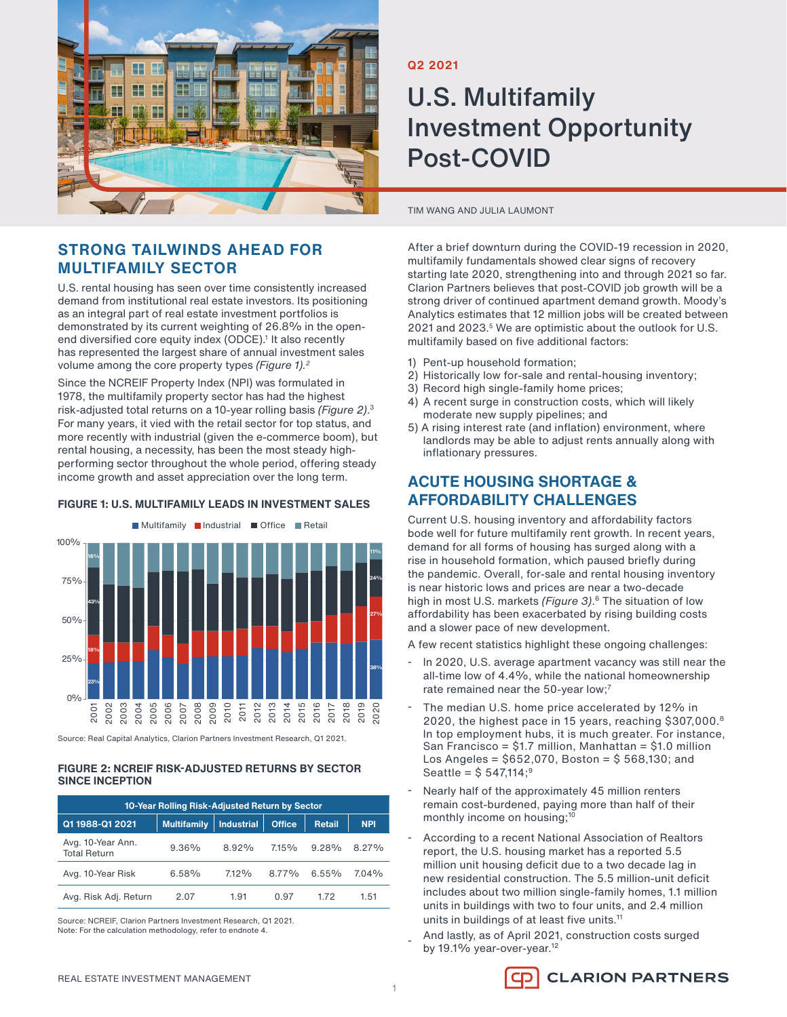

## **STRONG TAILWINDS AHEAD FOR MULTIFAMILY SECTOR**

U.S. rental housing has seen over time consistently increased demand from institutional real estate investors. Its positioning as an integral part of real estate investment portfolios is demonstrated by its current weighting of 26.8% in the openend diversified core equity index (ODCE).<sup>1</sup> It also recently has represented the largest share of annual investment sales volume among the core property types *(Figure 1).2*

Since the NCREIF Property Index (NPI) was formulated in 1978, the multifamily property sector has had the highest risk-adjusted total returns on a 10-year rolling basis *(Figure 2)*. 3 For many years, it vied with the retail sector for top status, and more recently with industrial (given the e-commerce boom), but rental housing, a necessity, has been the most steady highperforming sector throughout the whole period, offering steady income growth and asset appreciation over the long term.

## **FIGURE 1: U.S. MULTIFAMILY LEADS IN INVESTMENT SALES** Multifamily Industrial Office Retail



Source: Real Capital Analytics, Clarion Partners Investment Research, Q1 2021.

#### **FIGURE 2: NCREIF RISK-ADJUSTED RETURNS BY SECTOR SINCE INCEPTION**

| 10-Year Rolling Risk-Adjusted Return by Sector |                    |            |               |               |            |
|------------------------------------------------|--------------------|------------|---------------|---------------|------------|
| Q1 1988-Q1 2021                                | <b>Multifamily</b> | Industrial | <b>Office</b> | <b>Retail</b> | <b>NPI</b> |
| Avg. 10-Year Ann.<br><b>Total Return</b>       | $9.36\%$           | 8.92%      | 7.15%         | 9.28%         | 8.27%      |
| Avg. 10-Year Risk                              | 6.58%              | 7.12%      | 8.77%         | $6.55\%$      | 704%       |
| Avg. Risk Adj. Return                          | 2.07               | 1.91       | 0.97          | 172           | 1.51       |

Source: NCREIF, Clarion Partners Investment Research, Q1 2021. Note: For the calculation methodology, refer to endnote 4.

### **Q2 2021**

# U.S. Multifamily Investment Opportunity Post-COVID

#### TIM WANG AND JULIA LAUMONT

After a brief downturn during the COVID-19 recession in 2020, multifamily fundamentals showed clear signs of recovery starting late 2020, strengthening into and through 2021 so far. Clarion Partners believes that post-COVID job growth will be a strong driver of continued apartment demand growth. Moody's Analytics estimates that 12 million jobs will be created between 2021 and 2023.5 We are optimistic about the outlook for U.S. multifamily based on five additional factors:

- 1) Pent-up household formation;
- 2) Historically low for-sale and rental-housing inventory;
- 3) Record high single-family home prices;
- 4) A recent surge in construction costs, which will likely moderate new supply pipelines; and
- 5) A rising interest rate (and inflation) environment, where landlords may be able to adjust rents annually along with inflationary pressures.

## **ACUTE HOUSING SHORTAGE & AFFORDABILITY CHALLENGES**

Current U.S. housing inventory and affordability factors bode well for future multifamily rent growth. In recent years, demand for all forms of housing has surged along with a rise in household formation, which paused briefly during the pandemic. Overall, for-sale and rental housing inventory is near historic lows and prices are near a two-decade high in most U.S. markets *(Figure 3)*. 6 The situation of low affordability has been exacerbated by rising building costs and a slower pace of new development.

A few recent statistics highlight these ongoing challenges:

- In 2020, U.S. average apartment vacancy was still near the all-time low of 4.4%, while the national homeownership rate remained near the 50-year low;<sup>7</sup>
- The median U.S. home price accelerated by 12% in 2020, the highest pace in 15 years, reaching \$307,000.8 In top employment hubs, it is much greater. For instance, San Francisco = \$1.7 million, Manhattan = \$1.0 million Los Angeles =  $$652,070,$  Boston =  $$568,130;$  and Seattle =  $$547,114;$ <sup>9</sup>
- Nearly half of the approximately 45 million renters remain cost-burdened, paying more than half of their monthly income on housing;<sup>10</sup>
- According to a recent National Association of Realtors report, the U.S. housing market has a reported 5.5 million unit housing deficit due to a two decade lag in new residential construction. The 5.5 million-unit deficit includes about two million single-family homes, 1.1 million units in buildings with two to four units, and 2.4 million units in buildings of at least five units. 11
- And lastly, as of April 2021, construction costs surged by 19.1% year-over-year.<sup>12</sup>

**CLARION PARTNERS**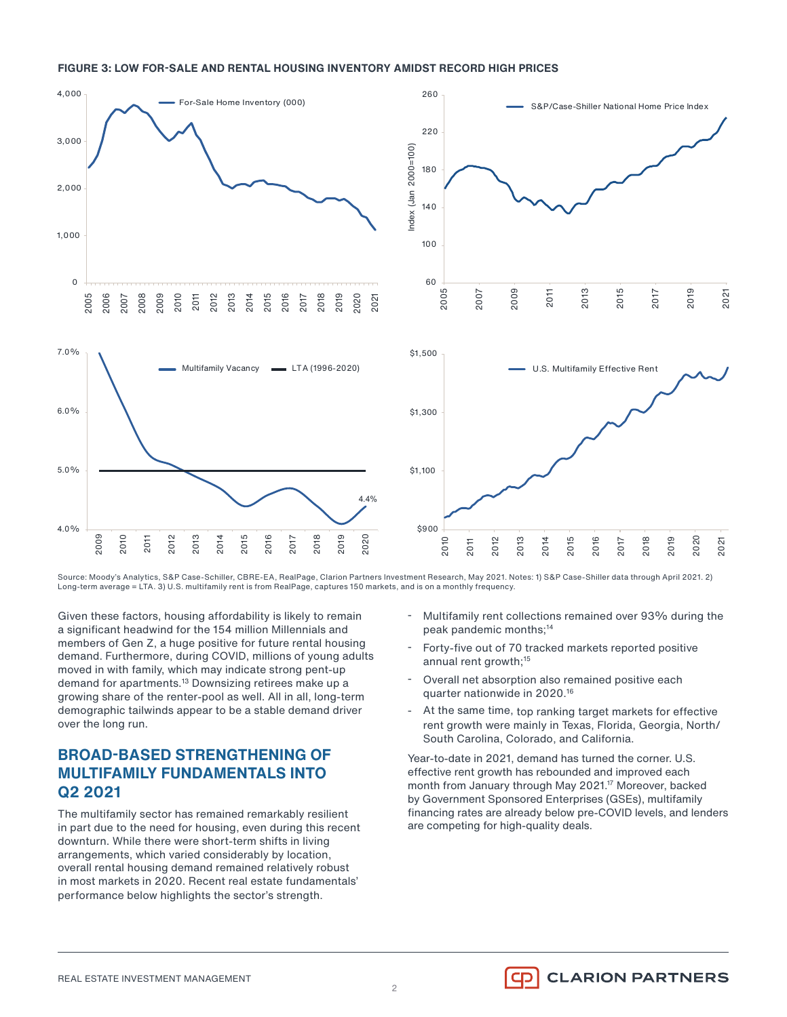#### **FIGURE 3: LOW FOR-SALE AND RENTAL HOUSING INVENTORY AMIDST RECORD HIGH PRICES**



Source: Moody's Analytics, S&P Case-Schiller, CBRE-EA, RealPage, Clarion Partners Investment Research, May 2021. Notes: 1) S&P Case-Shiller data through April 2021. 2) Long-term average = LTA. 3) U.S. multifamily rent is from RealPage, captures 150 markets, and is on a monthly frequency.

2

Given these factors, housing affordability is likely to remain a significant headwind for the 154 million Millennials and members of Gen Z, a huge positive for future rental housing demand. Furthermore, during COVID, millions of young adults moved in with family, which may indicate strong pent-up demand for apartments.<sup>13</sup> Downsizing retirees make up a growing share of the renter-pool as well. All in all, long-term demographic tailwinds appear to be a stable demand driver over the long run.

## **BROAD-BASED STRENGTHENING OF MULTIFAMILY FUNDAMENTALS INTO Q2 2021**

The multifamily sector has remained remarkably resilient in part due to the need for housing, even during this recent downturn. While there were short-term shifts in living arrangements, which varied considerably by location, overall rental housing demand remained relatively robust in most markets in 2020. Recent real estate fundamentals' performance below highlights the sector's strength.

- Multifamily rent collections remained over 93% during the peak pandemic months;14
- Forty-five out of 70 tracked markets reported positive annual rent growth;<sup>15</sup>
- Overall net absorption also remained positive each quarter nationwide in 2020.16
- At the same time, top ranking target markets for effective rent growth were mainly in Texas, Florida, Georgia, North/ South Carolina, Colorado, and California.

Year-to-date in 2021, demand has turned the corner. U.S. effective rent growth has rebounded and improved each month from January through May 2021.<sup>17</sup> Moreover, backed by Government Sponsored Enterprises (GSEs), multifamily financing rates are already below pre-COVID levels, and lenders are competing for high-quality deals.